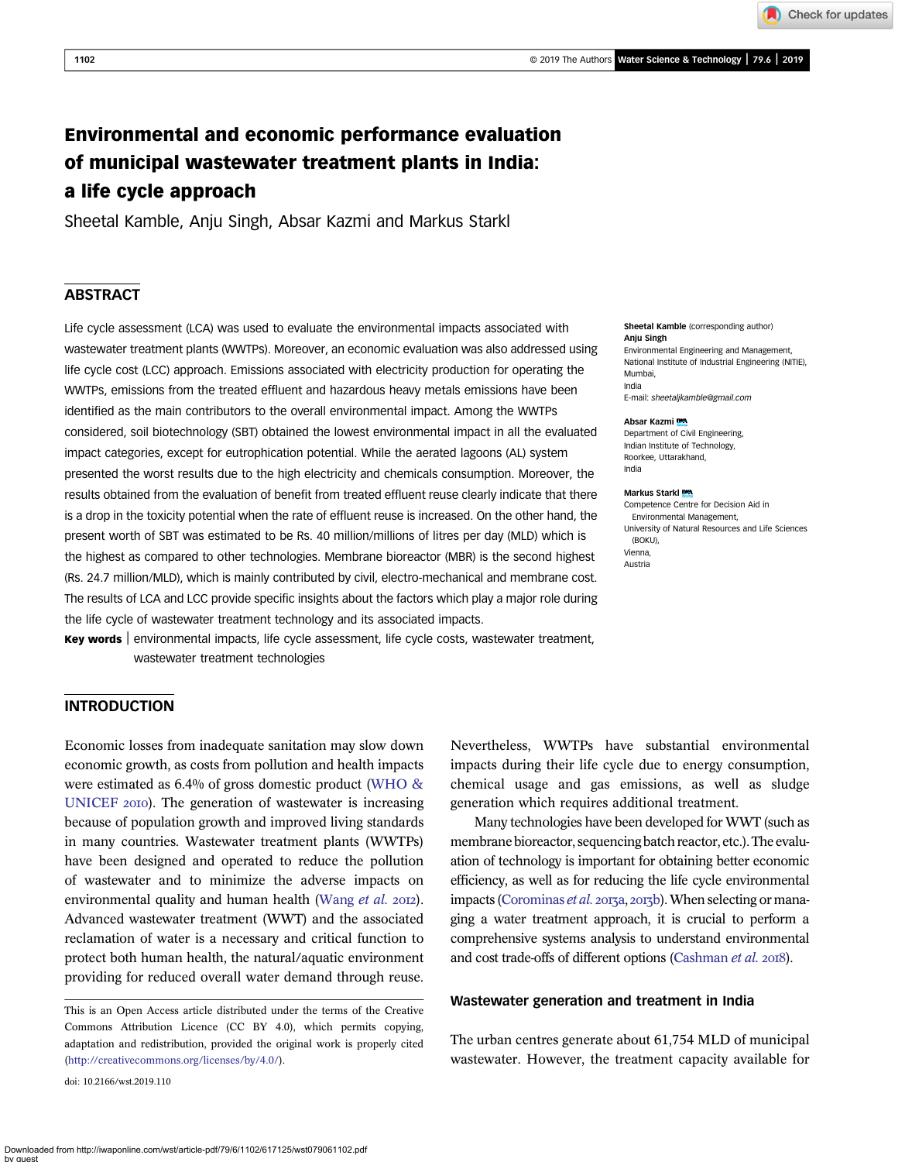Check for updates

# Environmental and economic performance evaluation of municipal wastewater treatment plants in India: a life cycle approach

Sheetal Kamble, Anju Singh, Absar Kazmi and Markus Starkl

# **ABSTRACT**

Life cycle assessment (LCA) was used to evaluate the environmental impacts associated with wastewater treatment plants (WWTPs). Moreover, an economic evaluation was also addressed using life cycle cost (LCC) approach. Emissions associated with electricity production for operating the WWTPs, emissions from the treated effluent and hazardous heavy metals emissions have been identified as the main contributors to the overall environmental impact. Among the WWTPs considered, soil biotechnology (SBT) obtained the lowest environmental impact in all the evaluated impact categories, except for eutrophication potential. While the aerated lagoons (AL) system presented the worst results due to the high electricity and chemicals consumption. Moreover, the results obtained from the evaluation of benefit from treated effluent reuse clearly indicate that there is a drop in the toxicity potential when the rate of effluent reuse is increased. On the other hand, the present worth of SBT was estimated to be Rs. 40 million/millions of litres per day (MLD) which is the highest as compared to other technologies. Membrane bioreactor (MBR) is the second highest (Rs. 24.7 million/MLD), which is mainly contributed by civil, electro-mechanical and membrane cost. The results of LCA and LCC provide specific insights about the factors which play a major role during the life cycle of wastewater treatment technology and its associated impacts.

Key words | environmental impacts, life cycle assessment, life cycle costs, wastewater treatment, wastewater treatment technologies

#### Sheetal Kamble (corresponding author) Anju Singh

Environmental Engineering and Management, National Institute of Industrial Engineering (NITIE), Mumbai, India

E-mail: [sheetaljkamble@gmail.com](mailto:sheetaljkamble@gmail.com)

#### Absar Kazmi

Department of Civil Engineering, Indian Institute of Technology, Roorkee, Uttarakhand, India

#### Markus Starkl

Competence Centre for Decision Aid in Environmental Management, University of Natural Resources and Life Sciences (BOKU), Vienna, Austria

### INTRODUCTION

Economic losses from inadequate sanitation may slow down economic growth, as costs from pollution and health impacts were estimated as 6.4% of gross domestic product ([WHO &](#page-10-0) [UNICEF](#page-10-0) 2010). The generation of wastewater is increasing because of population growth and improved living standards in many countries. Wastewater treatment plants (WWTPs) have been designed and operated to reduce the pollution of wastewater and to minimize the adverse impacts on environmental quality and human health [\(Wang](#page-10-0) et al. 2012). Advanced wastewater treatment (WWT) and the associated reclamation of water is a necessary and critical function to protect both human health, the natural/aquatic environment providing for reduced overall water demand through reuse.

doi: 10.2166/wst.2019.110

Nevertheless, WWTPs have substantial environmental impacts during their life cycle due to energy consumption, chemical usage and gas emissions, as well as sludge generation which requires additional treatment.

Many technologies have been developed for WWT (such as membrane bioreactor, sequencing batch reactor, etc.). The evaluation of technology is important for obtaining better economic efficiency, as well as for reducing the life cycle environmental impacts [\(Corominas](#page-9-0) et al. 2013a, 2013b). When selecting or managing a water treatment approach, it is crucial to perform a comprehensive systems analysis to understand environmental and cost trade-offs of different options [\(Cashman](#page-9-0) et al. 2018).

#### Wastewater generation and treatment in India

The urban centres generate about 61,754 MLD of municipal wastewater. However, the treatment capacity available for

This is an Open Access article distributed under the terms of the Creative Commons Attribution Licence (CC BY 4.0), which permits copying, adaptation and redistribution, provided the original work is properly cited ([http://creativecommons.org/licenses/by/4.0/\)](http://creativecommons.org/licenses/by/4.0/).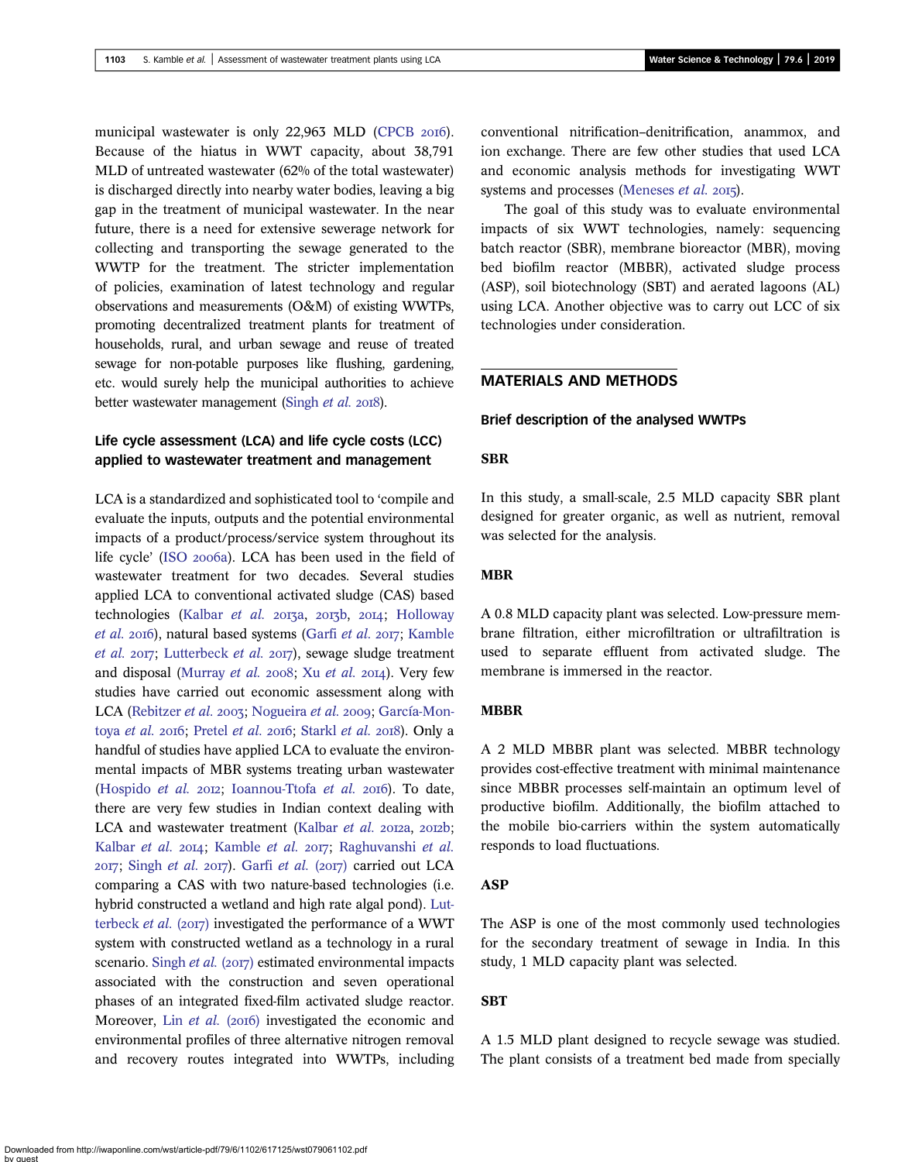municipal wastewater is only 22,963 MLD [\(CPCB](#page-9-0) 2016). Because of the hiatus in WWT capacity, about 38,791 MLD of untreated wastewater (62% of the total wastewater) is discharged directly into nearby water bodies, leaving a big gap in the treatment of municipal wastewater. In the near future, there is a need for extensive sewerage network for collecting and transporting the sewage generated to the WWTP for the treatment. The stricter implementation of policies, examination of latest technology and regular observations and measurements (O&M) of existing WWTPs, promoting decentralized treatment plants for treatment of households, rural, and urban sewage and reuse of treated sewage for non-potable purposes like flushing, gardening, etc. would surely help the municipal authorities to achieve better wastewater management [\(Singh](#page-10-0) et al. 2018).

# Life cycle assessment (LCA) and life cycle costs (LCC) applied to wastewater treatment and management

LCA is a standardized and sophisticated tool to 'compile and evaluate the inputs, outputs and the potential environmental impacts of a product/process/service system throughout its life cycle' (ISO 2006a). LCA has been used in the field of wastewater treatment for two decades. Several studies applied LCA to conventional activated sludge (CAS) based technologies [\(Kalbar](#page-9-0) et al.  $2013a$ ,  $2013b$ ,  $2014$ ; [Holloway](#page-9-0)  $et$  al. 2016), natural based systems [\(Garfi](#page-9-0)  $et$  al. 2017; [Kamble](#page-9-0) [et al.](#page-9-0)  $2017$ ; [Lutterbeck](#page-9-0) et al.  $2017$ ), sewage sludge treatment and disposal ([Murray](#page-10-0) [et al.](#page-10-0) 2008; Xu et al. 2014). Very few studies have carried out economic assessment along with LCA ([Rebitzer](#page-10-0) et al. 2003; [Nogueira](#page-10-0) et al. 2009; [García-Mon](#page-9-0)toya [et al.](#page-9-0) 2016; [Pretel](#page-10-0) et al. 2016; [Starkl](#page-10-0) et al. 2018). Only a handful of studies have applied LCA to evaluate the environmental impacts of MBR systems treating urban wastewater [\(Hospido](#page-9-0) et al. 2012; [Ioannou-Ttofa](#page-9-0) et al. 2016). To date, there are very few studies in Indian context dealing with LCA and wastewater treatment ([Kalbar](#page-9-0) et al. 2012a, 2012b; [Kalbar](#page-9-0) et al. 2014; [Kamble](#page-9-0) et al. 2017; [Raghuvanshi](#page-10-0) et al.  $2017$ ; [Singh](#page-10-0) et al.  $2017$ ). [Garfi](#page-9-0) et al. ( $2017$ ) carried out LCA comparing a CAS with two nature-based technologies (i.e. hybrid constructed a wetland and high rate algal pond). [Lut](#page-9-0)[terbeck](#page-9-0) *et al.* ( $2017$ ) investigated the performance of a WWT system with constructed wetland as a technology in a rural scenario. [Singh](#page-10-0) et al.  $(2017)$  estimated environmental impacts associated with the construction and seven operational phases of an integrated fixed-film activated sludge reactor. Moreover, Lin [et al.](#page-9-0) (2016) investigated the economic and environmental profiles of three alternative nitrogen removal and recovery routes integrated into WWTPs, including

conventional nitrification–denitrification, anammox, and ion exchange. There are few other studies that used LCA and economic analysis methods for investigating WWT systems and processes ([Meneses](#page-9-0)  $et$   $al.$  2015).

The goal of this study was to evaluate environmental impacts of six WWT technologies, namely: sequencing batch reactor (SBR), membrane bioreactor (MBR), moving bed biofilm reactor (MBBR), activated sludge process (ASP), soil biotechnology (SBT) and aerated lagoons (AL) using LCA. Another objective was to carry out LCC of six technologies under consideration.

# MATERIALS AND METHODS

#### Brief description of the analysed WWTPs

### **SBR**

In this study, a small-scale, 2.5 MLD capacity SBR plant designed for greater organic, as well as nutrient, removal was selected for the analysis.

# MBR

A 0.8 MLD capacity plant was selected. Low-pressure membrane filtration, either microfiltration or ultrafiltration is used to separate effluent from activated sludge. The membrane is immersed in the reactor.

### MBBR

A 2 MLD MBBR plant was selected. MBBR technology provides cost-effective treatment with minimal maintenance since MBBR processes self-maintain an optimum level of productive biofilm. Additionally, the biofilm attached to the mobile bio-carriers within the system automatically responds to load fluctuations.

### ASP

The ASP is one of the most commonly used technologies for the secondary treatment of sewage in India. In this study, 1 MLD capacity plant was selected.

### **SBT**

A 1.5 MLD plant designed to recycle sewage was studied. The plant consists of a treatment bed made from specially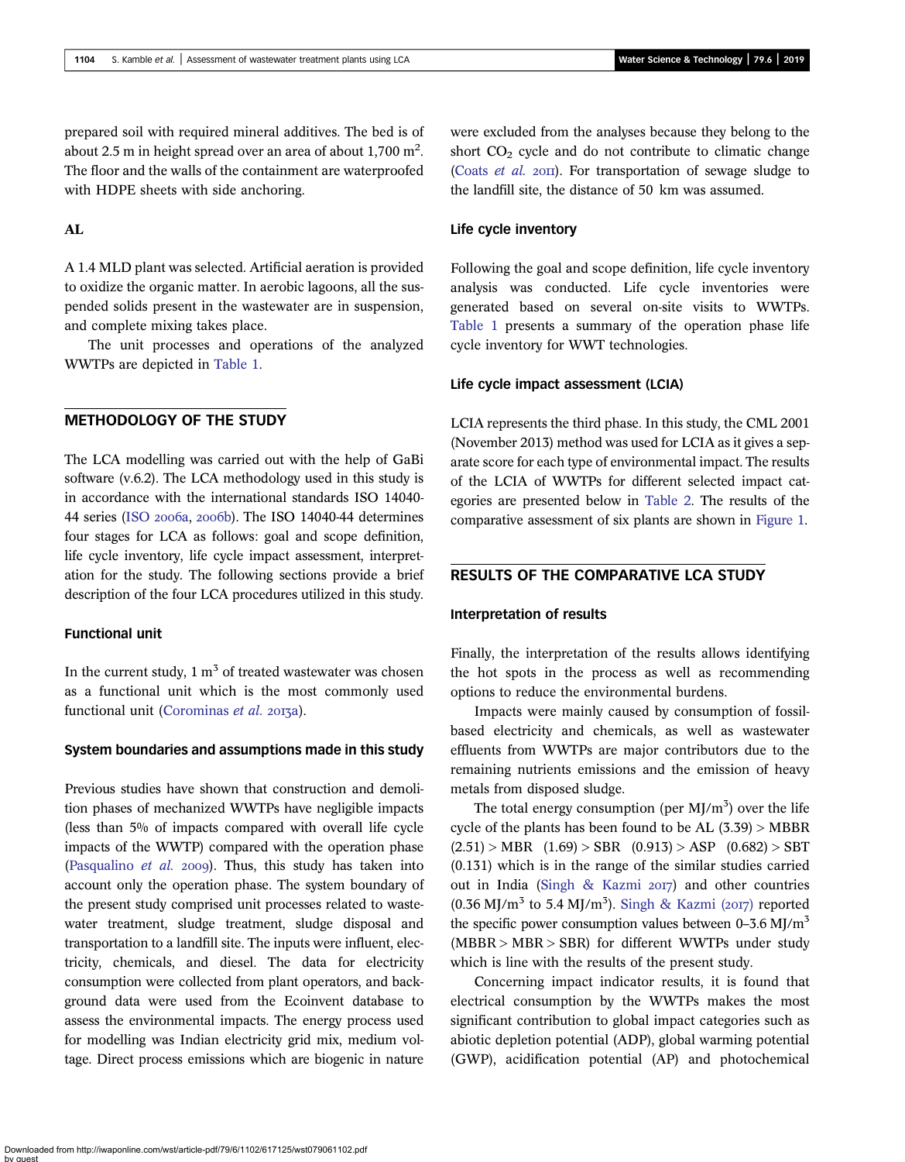prepared soil with required mineral additives. The bed is of about 2.5 m in height spread over an area of about 1,700 m<sup>2</sup>. The floor and the walls of the containment are waterproofed with HDPE sheets with side anchoring.

### AL

A 1.4 MLD plant was selected. Artificial aeration is provided to oxidize the organic matter. In aerobic lagoons, all the suspended solids present in the wastewater are in suspension, and complete mixing takes place.

The unit processes and operations of the analyzed WWTPs are depicted in [Table 1.](#page-3-0)

### METHODOLOGY OF THE STUDY

The LCA modelling was carried out with the help of GaBi software (v.6.2). The LCA methodology used in this study is in accordance with the international standards ISO 14040- 44 series (ISO 2006a, 2006b). The ISO 14040-44 determines four stages for LCA as follows: goal and scope definition, life cycle inventory, life cycle impact assessment, interpretation for the study. The following sections provide a brief description of the four LCA procedures utilized in this study.

### Functional unit

In the current study,  $1 \text{ m}^3$  of treated was the extended was chosen as a functional unit which is the most commonly used functional unit ([Corominas](#page-9-0) et al. 2013a).

#### System boundaries and assumptions made in this study

Previous studies have shown that construction and demolition phases of mechanized WWTPs have negligible impacts (less than 5% of impacts compared with overall life cycle impacts of the WWTP) compared with the operation phase [\(Pasqualino](#page-10-0)  $et$  al. 2009). Thus, this study has taken into account only the operation phase. The system boundary of the present study comprised unit processes related to wastewater treatment, sludge treatment, sludge disposal and transportation to a landfill site. The inputs were influent, electricity, chemicals, and diesel. The data for electricity consumption were collected from plant operators, and background data were used from the Ecoinvent database to assess the environmental impacts. The energy process used for modelling was Indian electricity grid mix, medium voltage. Direct process emissions which are biogenic in nature were excluded from the analyses because they belong to the short  $CO<sub>2</sub>$  cycle and do not contribute to climatic change [\(Coats](#page-9-0) et al. 2011). For transportation of sewage sludge to the landfill site, the distance of 50 km was assumed.

### Life cycle inventory

Following the goal and scope definition, life cycle inventory analysis was conducted. Life cycle inventories were generated based on several on-site visits to WWTPs. [Table 1](#page-3-0) presents a summary of the operation phase life cycle inventory for WWT technologies.

#### Life cycle impact assessment (LCIA)

LCIA represents the third phase. In this study, the CML 2001 (November 2013) method was used for LCIA as it gives a separate score for each type of environmental impact. The results of the LCIA of WWTPs for different selected impact categories are presented below in [Table 2.](#page-5-0) The results of the comparative assessment of six plants are shown in [Figure 1](#page-5-0).

# RESULTS OF THE COMPARATIVE LCA STUDY

#### Interpretation of results

Finally, the interpretation of the results allows identifying the hot spots in the process as well as recommending options to reduce the environmental burdens.

Impacts were mainly caused by consumption of fossilbased electricity and chemicals, as well as wastewater effluents from WWTPs are major contributors due to the remaining nutrients emissions and the emission of heavy metals from disposed sludge.

The total energy consumption (per  $M J/m<sup>3</sup>$ ) over the life cycle of the plants has been found to be AL  $(3.39) > MBBR$  $(2.51) > MBR$   $(1.69) > SBR$   $(0.913) > ASP$   $(0.682) > SBT$ (0.131) which is in the range of the similar studies carried out in India [\(Singh & Kazmi](#page-10-0)  $2017$ ) and other countries  $(0.36 \text{ MJ/m}^3$  to 5.4 MJ/m<sup>3</sup>). [Singh & Kazmi \(](#page-10-0)2017) reported the specific power consumption values between  $0-3.6$  MJ/m<sup>3</sup> (MBBR > MBR > SBR) for different WWTPs under study which is line with the results of the present study.

Concerning impact indicator results, it is found that electrical consumption by the WWTPs makes the most significant contribution to global impact categories such as abiotic depletion potential (ADP), global warming potential (GWP), acidification potential (AP) and photochemical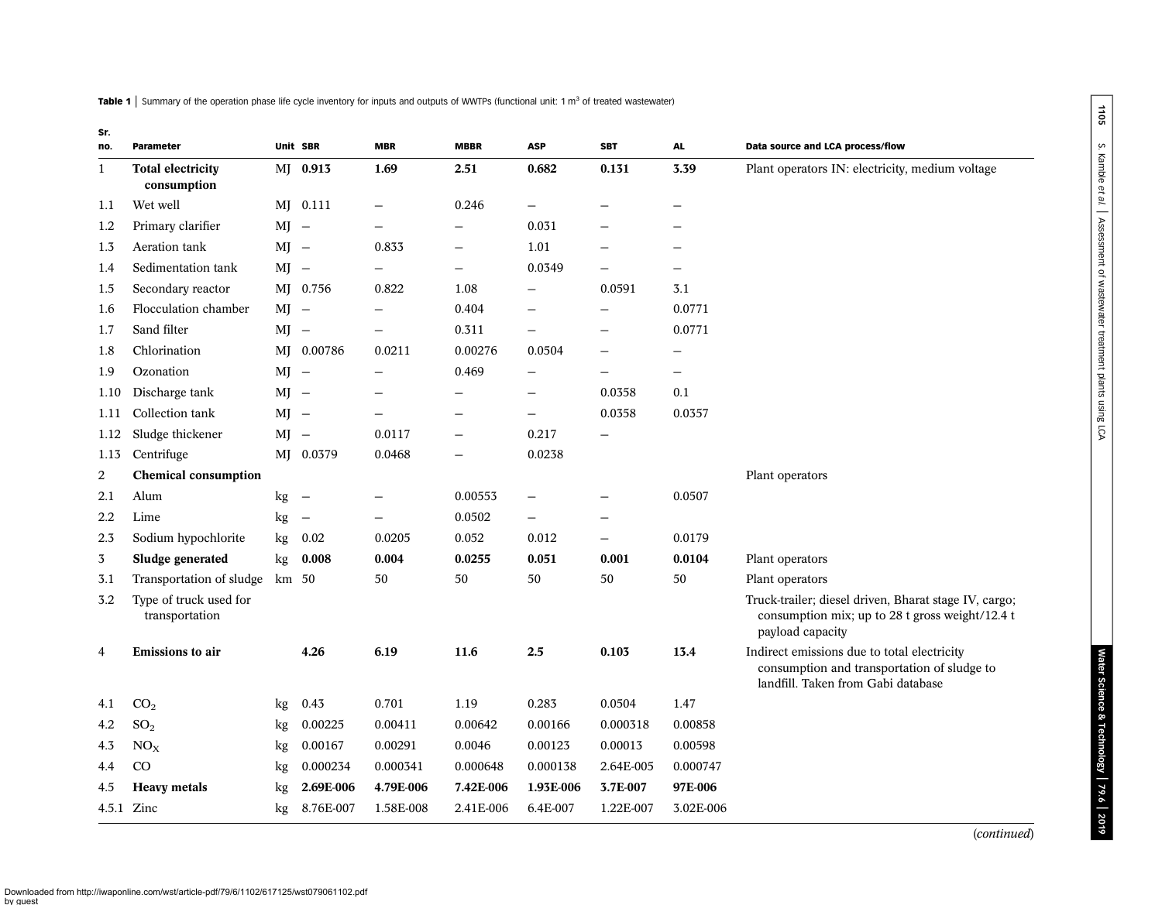<span id="page-3-0"></span>Table 1 | Summary of the operation phase life cycle inventory for inputs and outputs of WWTPs (functional unit: 1 m<sup>3</sup> of treated wastewater)

| Sr.<br>no.     | Parameter                                |        | Unit SBR                 | <b>MBR</b>               | <b>MBBR</b>       | <b>ASP</b>               | <b>SBT</b>               | AL                       | Data source and LCA process/flow                                                                                                 |
|----------------|------------------------------------------|--------|--------------------------|--------------------------|-------------------|--------------------------|--------------------------|--------------------------|----------------------------------------------------------------------------------------------------------------------------------|
| $\mathbf{1}$   | <b>Total electricity</b><br>consumption  |        | MJ 0.913                 | 1.69                     | 2.51              | 0.682                    | 0.131                    | 3.39                     | Plant operators IN: electricity, medium voltage                                                                                  |
| 1.1            | Wet well                                 |        | MJ 0.111                 | $\overline{\phantom{0}}$ | 0.246             |                          |                          |                          |                                                                                                                                  |
| 1.2            | Primary clarifier                        | $MI -$ |                          | $\overline{\phantom{0}}$ | $\qquad \qquad -$ | 0.031                    |                          | —                        |                                                                                                                                  |
| 1.3            | Aeration tank                            | $MJ -$ |                          | 0.833                    |                   | 1.01                     |                          | $\overline{\phantom{0}}$ |                                                                                                                                  |
| 1.4            | Sedimentation tank                       | $MI -$ |                          |                          |                   | 0.0349                   |                          |                          |                                                                                                                                  |
| 1.5            | Secondary reactor                        |        | MJ 0.756                 | 0.822                    | 1.08              |                          | 0.0591                   | 3.1                      |                                                                                                                                  |
| 1.6            | Flocculation chamber                     | $MI -$ |                          |                          | 0.404             |                          |                          | 0.0771                   |                                                                                                                                  |
| 1.7            | Sand filter                              | $MI -$ |                          | $\overline{\phantom{0}}$ | 0.311             | $\overline{\phantom{0}}$ |                          | 0.0771                   |                                                                                                                                  |
| 1.8            | Chlorination                             |        | MJ 0.00786               | 0.0211                   | 0.00276           | 0.0504                   | $\overline{\phantom{0}}$ |                          |                                                                                                                                  |
| 1.9            | Ozonation                                | $MI -$ |                          |                          | 0.469             |                          |                          | $\overline{\phantom{0}}$ |                                                                                                                                  |
| 1.10           | Discharge tank                           | $MI -$ |                          |                          |                   |                          | 0.0358                   | 0.1                      |                                                                                                                                  |
| 1.11           | Collection tank                          | $MI -$ |                          |                          | —                 | —                        | 0.0358                   | 0.0357                   |                                                                                                                                  |
| 1.12           | Sludge thickener                         | $MI -$ |                          | 0.0117                   |                   | 0.217                    |                          |                          |                                                                                                                                  |
| 1.13           | Centrifuge                               |        | MJ 0.0379                | 0.0468                   |                   | 0.0238                   |                          |                          |                                                                                                                                  |
| 2              | <b>Chemical consumption</b>              |        |                          |                          |                   |                          |                          |                          | Plant operators                                                                                                                  |
| 2.1            | Alum                                     | kg     | $\overline{\phantom{0}}$ |                          | 0.00553           | —                        |                          | 0.0507                   |                                                                                                                                  |
| 2.2            | Lime                                     | kg     | $\overline{\phantom{0}}$ | $\overline{\phantom{0}}$ | 0.0502            | $\overline{\phantom{0}}$ | $\overline{\phantom{0}}$ |                          |                                                                                                                                  |
| 2.3            | Sodium hypochlorite                      | kg     | 0.02                     | 0.0205                   | 0.052             | 0.012                    | $\overline{\phantom{0}}$ | 0.0179                   |                                                                                                                                  |
| $\overline{3}$ | Sludge generated                         | kg     | 0.008                    | 0.004                    | 0.0255            | 0.051                    | 0.001                    | 0.0104                   | Plant operators                                                                                                                  |
| 3.1            | Transportation of sludge                 | km 50  |                          | 50                       | 50                | 50                       | 50                       | 50                       | Plant operators                                                                                                                  |
| 3.2            | Type of truck used for<br>transportation |        |                          |                          |                   |                          |                          |                          | Truck-trailer; diesel driven, Bharat stage IV, cargo;<br>consumption mix; up to 28 t gross weight/12.4 t<br>payload capacity     |
| 4              | <b>Emissions</b> to air                  |        | 4.26                     | 6.19                     | 11.6              | 2.5                      | 0.103                    | 13.4                     | Indirect emissions due to total electricity<br>consumption and transportation of sludge to<br>landfill. Taken from Gabi database |
| 4.1            | CO <sub>2</sub>                          | kg     | 0.43                     | 0.701                    | 1.19              | 0.283                    | 0.0504                   | 1.47                     |                                                                                                                                  |
| 4.2            | SO <sub>2</sub>                          | kg     | 0.00225                  | 0.00411                  | 0.00642           | 0.00166                  | 0.000318                 | 0.00858                  |                                                                                                                                  |
| 4.3            | NO <sub>X</sub>                          | kg     | 0.00167                  | 0.00291                  | 0.0046            | 0.00123                  | 0.00013                  | 0.00598                  |                                                                                                                                  |
| 4.4            | $\rm CO$                                 | kg     | 0.000234                 | 0.000341                 | 0.000648          | 0.000138                 | 2.64E-005                | 0.000747                 |                                                                                                                                  |
| 4.5            | <b>Heavy</b> metals                      | kg     | 2.69E-006                | 4.79E-006                | 7.42E-006         | 1.93E-006                | 3.7E-007                 | 97E-006                  |                                                                                                                                  |
|                | 4.5.1 Zinc                               | kg     | 8.76E-007                | 1.58E-008                | 2.41E-006         | 6.4E-007                 | 1.22E-007                | 3.02E-006                |                                                                                                                                  |

(continued)

Water Science & Technology

| 79.6 | 2019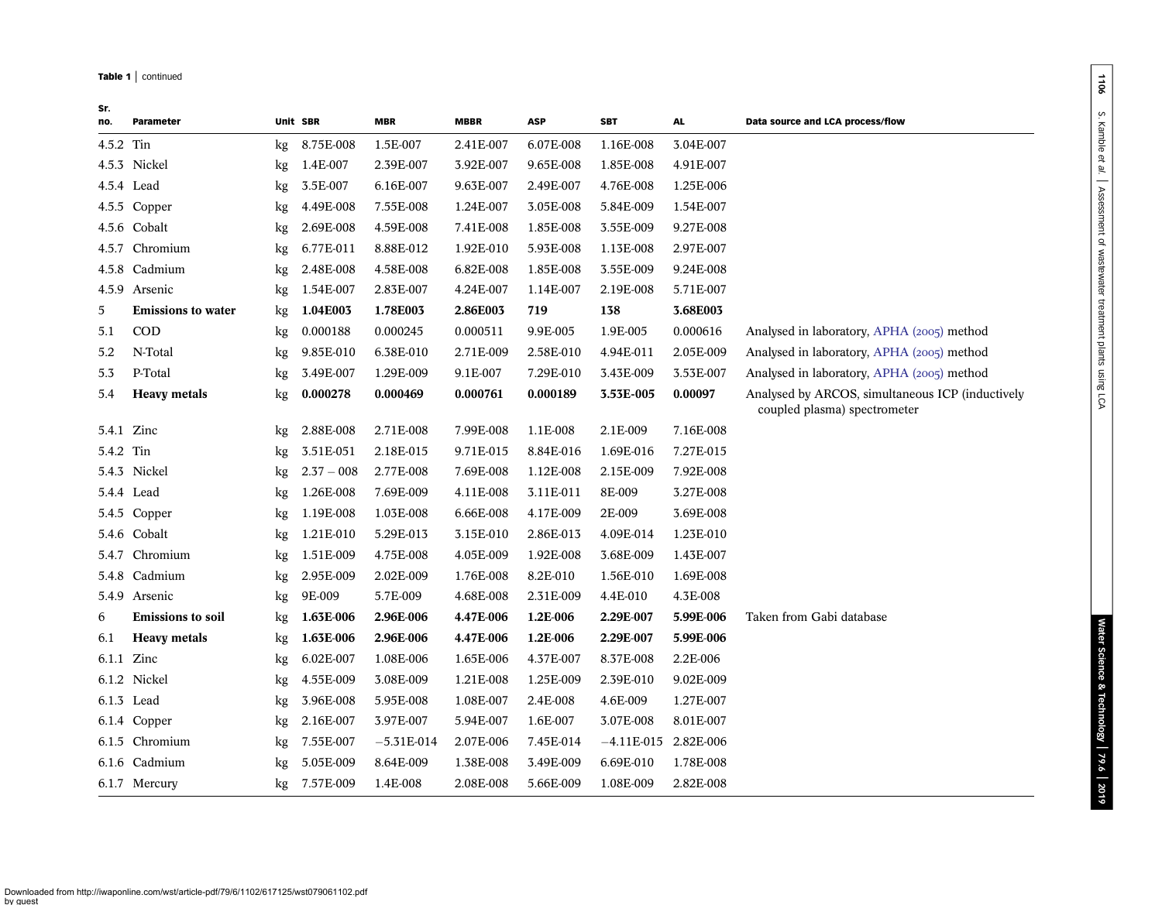#### Table 1 | continued

| Sr.<br>no. | Parameter                 |    | Unit SBR     | <b>MBR</b>   | <b>MBBR</b> | ASP       | <b>SBT</b>   | AL.       | Data source and LCA process/flow                                                 |
|------------|---------------------------|----|--------------|--------------|-------------|-----------|--------------|-----------|----------------------------------------------------------------------------------|
| 4.5.2 Tin  |                           | kg | 8.75E-008    | 1.5E-007     | 2.41E-007   | 6.07E-008 | 1.16E-008    | 3.04E-007 |                                                                                  |
|            | 4.5.3 Nickel              | kg | 1.4E-007     | 2.39E-007    | 3.92E-007   | 9.65E-008 | 1.85E-008    | 4.91E-007 |                                                                                  |
|            | 4.5.4 Lead                | kg | 3.5E-007     | 6.16E-007    | 9.63E-007   | 2.49E-007 | 4.76E-008    | 1.25E-006 |                                                                                  |
|            | 4.5.5 Copper              | kg | 4.49E-008    | 7.55E-008    | 1.24E-007   | 3.05E-008 | 5.84E-009    | 1.54E-007 |                                                                                  |
|            | 4.5.6 Cobalt              | kg | 2.69E-008    | 4.59E-008    | 7.41E-008   | 1.85E-008 | 3.55E-009    | 9.27E-008 |                                                                                  |
| 4.5.7      | Chromium                  | kg | 6.77E-011    | 8.88E-012    | 1.92E-010   | 5.93E-008 | 1.13E-008    | 2.97E-007 |                                                                                  |
|            | 4.5.8 Cadmium             | kg | 2.48E-008    | 4.58E-008    | 6.82E-008   | 1.85E-008 | 3.55E-009    | 9.24E-008 |                                                                                  |
|            | 4.5.9 Arsenic             | kg | 1.54E-007    | 2.83E-007    | 4.24E-007   | 1.14E-007 | 2.19E-008    | 5.71E-007 |                                                                                  |
| 5          | <b>Emissions to water</b> | kg | 1.04E003     | 1.78E003     | 2.86E003    | 719       | 138          | 3.68E003  |                                                                                  |
| 5.1        | <b>COD</b>                | kg | 0.000188     | 0.000245     | 0.000511    | 9.9E-005  | 1.9E-005     | 0.000616  | Analysed in laboratory, APHA (2005) method                                       |
| 5.2        | N-Total                   | kg | 9.85E-010    | 6.38E-010    | 2.71E-009   | 2.58E-010 | 4.94E-011    | 2.05E-009 | Analysed in laboratory, APHA (2005) method                                       |
| 5.3        | P-Total                   | kg | 3.49E-007    | 1.29E-009    | 9.1E-007    | 7.29E-010 | 3.43E-009    | 3.53E-007 | Analysed in laboratory, APHA (2005) method                                       |
| 5.4        | <b>Heavy</b> metals       | kg | 0.000278     | 0.000469     | 0.000761    | 0.000189  | 3.53E-005    | 0.00097   | Analysed by ARCOS, simultaneous ICP (inductively<br>coupled plasma) spectrometer |
|            | 5.4.1 Zinc                | kg | 2.88E-008    | 2.71E-008    | 7.99E-008   | 1.1E-008  | 2.1E-009     | 7.16E-008 |                                                                                  |
| 5.4.2 Tin  |                           | kg | 3.51E-051    | 2.18E-015    | 9.71E-015   | 8.84E-016 | 1.69E-016    | 7.27E-015 |                                                                                  |
|            | 5.4.3 Nickel              | kg | $2.37 - 008$ | 2.77E-008    | 7.69E-008   | 1.12E-008 | 2.15E-009    | 7.92E-008 |                                                                                  |
|            | 5.4.4 Lead                | kg | 1.26E-008    | 7.69E-009    | 4.11E-008   | 3.11E-011 | 8E-009       | 3.27E-008 |                                                                                  |
|            | 5.4.5 Copper              | kg | 1.19E-008    | 1.03E-008    | 6.66E-008   | 4.17E-009 | 2E-009       | 3.69E-008 |                                                                                  |
|            | 5.4.6 Cobalt              | kg | 1.21E-010    | 5.29E-013    | 3.15E-010   | 2.86E-013 | 4.09E-014    | 1.23E-010 |                                                                                  |
|            | 5.4.7 Chromium            | kg | 1.51E-009    | 4.75E-008    | 4.05E-009   | 1.92E-008 | 3.68E-009    | 1.43E-007 |                                                                                  |
| 5.4.8      | Cadmium                   | kg | 2.95E-009    | 2.02E-009    | 1.76E-008   | 8.2E-010  | 1.56E-010    | 1.69E-008 |                                                                                  |
|            | 5.4.9 Arsenic             | kg | 9E-009       | 5.7E-009     | 4.68E-008   | 2.31E-009 | 4.4E-010     | 4.3E-008  |                                                                                  |
| 6          | <b>Emissions</b> to soil  | kg | 1.63E-006    | 2.96E-006    | 4.47E-006   | 1.2E-006  | 2.29E-007    | 5.99E-006 | Taken from Gabi database                                                         |
| 6.1        | <b>Heavy metals</b>       | kg | 1.63E-006    | 2.96E-006    | 4.47E-006   | 1.2E-006  | 2.29E-007    | 5.99E-006 |                                                                                  |
|            | 6.1.1 Zinc                | kg | 6.02E-007    | 1.08E-006    | 1.65E-006   | 4.37E-007 | 8.37E-008    | 2.2E-006  |                                                                                  |
|            | 6.1.2 Nickel              | kg | 4.55E-009    | 3.08E-009    | 1.21E-008   | 1.25E-009 | 2.39E-010    | 9.02E-009 |                                                                                  |
|            | 6.1.3 Lead                | kg | 3.96E-008    | 5.95E-008    | 1.08E-007   | 2.4E-008  | 4.6E-009     | 1.27E-007 |                                                                                  |
|            | 6.1.4 Copper              | kg | 2.16E-007    | 3.97E-007    | 5.94E-007   | 1.6E-007  | 3.07E-008    | 8.01E-007 |                                                                                  |
|            | 6.1.5 Chromium            | kg | 7.55E-007    | $-5.31E-014$ | 2.07E-006   | 7.45E-014 | $-4.11E-015$ | 2.82E-006 |                                                                                  |
|            | 6.1.6 Cadmium             | kg | 5.05E-009    | 8.64E-009    | 1.38E-008   | 3.49E-009 | 6.69E-010    | 1.78E-008 |                                                                                  |
|            | 6.1.7 Mercury             | kg | 7.57E-009    | 1.4E-008     | 2.08E-008   | 5.66E-009 | 1.08E-009    | 2.82E-008 |                                                                                  |

1106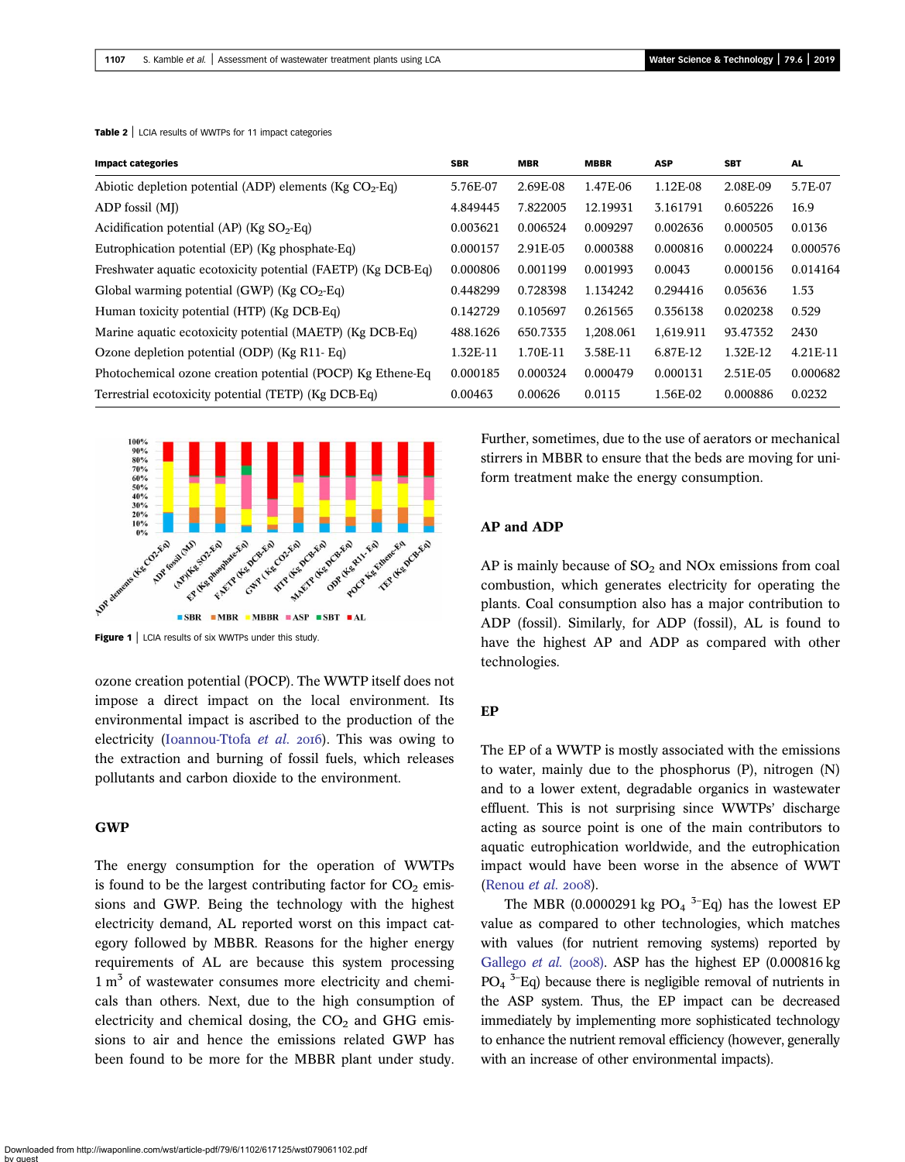| <b>Impact categories</b>                                     | <b>SBR</b> | <b>MBR</b> | <b>MBBR</b> | <b>ASP</b> | <b>SBT</b> | <b>AL</b> |
|--------------------------------------------------------------|------------|------------|-------------|------------|------------|-----------|
| Abiotic depletion potential (ADP) elements ( $Kg CO2-Eq$ )   | 5.76E-07   | 2.69E-08   | 1.47E-06    | 1.12E-08   | 2.08E-09   | 5.7E-07   |
| ADP fossil (MJ)                                              | 4.849445   | 7.822005   | 12.19931    | 3.161791   | 0.605226   | 16.9      |
| Acidification potential (AP) (Kg $SO_2$ -Eq)                 | 0.003621   | 0.006524   | 0.009297    | 0.002636   | 0.000505   | 0.0136    |
| Eutrophication potential (EP) (Kg phosphate-Eq)              | 0.000157   | 2.91E-05   | 0.000388    | 0.000816   | 0.000224   | 0.000576  |
| Freshwater aquatic ecotoxicity potential (FAETP) (Kg DCB-Eq) | 0.000806   | 0.001199   | 0.001993    | 0.0043     | 0.000156   | 0.014164  |
| Global warming potential (GWP) ( $Kg CO2$ -Eq)               | 0.448299   | 0.728398   | 1.134242    | 0.294416   | 0.05636    | 1.53      |
| Human toxicity potential (HTP) (Kg DCB-Eq)                   | 0.142729   | 0.105697   | 0.261565    | 0.356138   | 0.020238   | 0.529     |
| Marine aquatic ecotoxicity potential (MAETP) (Kg DCB-Eq)     | 488.1626   | 650.7335   | 1,208.061   | 1,619.911  | 93.47352   | 2430      |
| Ozone depletion potential (ODP) (Kg R11- Eq)                 | 1.32E-11   | 1.70E-11   | 3.58E-11    | 6.87E-12   | 1.32E-12   | 4.21E-11  |
| Photochemical ozone creation potential (POCP) Kg Ethene-Eq.  | 0.000185   | 0.000324   | 0.000479    | 0.000131   | 2.51E-05   | 0.000682  |
| Terrestrial ecotoxicity potential (TETP) (Kg DCB-Eq)         | 0.00463    | 0.00626    | 0.0115      | 1.56E-02   | 0.000886   | 0.0232    |

<span id="page-5-0"></span>Table 2 | LCIA results of WWTPs for 11 impact categories



Figure 1 | LCIA results of six WWTPs under this study.

ozone creation potential (POCP). The WWTP itself does not impose a direct impact on the local environment. Its environmental impact is ascribed to the production of the electricity [\(Ioannou-Ttofa](#page-9-0) et al.  $2016$ ). This was owing to the extraction and burning of fossil fuels, which releases pollutants and carbon dioxide to the environment.

### GWP

The energy consumption for the operation of WWTPs is found to be the largest contributing factor for  $CO<sub>2</sub>$  emissions and GWP. Being the technology with the highest electricity demand, AL reported worst on this impact category followed by MBBR. Reasons for the higher energy requirements of AL are because this system processing  $1 m<sup>3</sup>$  of wastewater consumes more electricity and chemicals than others. Next, due to the high consumption of electricity and chemical dosing, the  $CO<sub>2</sub>$  and GHG emissions to air and hence the emissions related GWP has been found to be more for the MBBR plant under study. Further, sometimes, due to the use of aerators or mechanical stirrers in MBBR to ensure that the beds are moving for uniform treatment make the energy consumption.

### AP and ADP

AP is mainly because of  $SO<sub>2</sub>$  and NOx emissions from coal combustion, which generates electricity for operating the plants. Coal consumption also has a major contribution to ADP (fossil). Similarly, for ADP (fossil), AL is found to have the highest AP and ADP as compared with other technologies.

### EP

The EP of a WWTP is mostly associated with the emissions to water, mainly due to the phosphorus (P), nitrogen (N) and to a lower extent, degradable organics in wastewater effluent. This is not surprising since WWTPs' discharge acting as source point is one of the main contributors to aquatic eutrophication worldwide, and the eutrophication impact would have been worse in the absence of WWT [\(Renou](#page-10-0) et al. 2008).

The MBR (0.0000291 kg  $PO<sub>4</sub>$ <sup>3-</sup>Eq) has the lowest EP value as compared to other technologies, which matches with values (for nutrient removing systems) reported by [Gallego](#page-9-0) *et al.* (2008). ASP has the highest EP (0.000816 kg)  $PO_4$ <sup>3–</sup>Eq) because there is negligible removal of nutrients in the ASP system. Thus, the EP impact can be decreased immediately by implementing more sophisticated technology to enhance the nutrient removal efficiency (however, generally with an increase of other environmental impacts).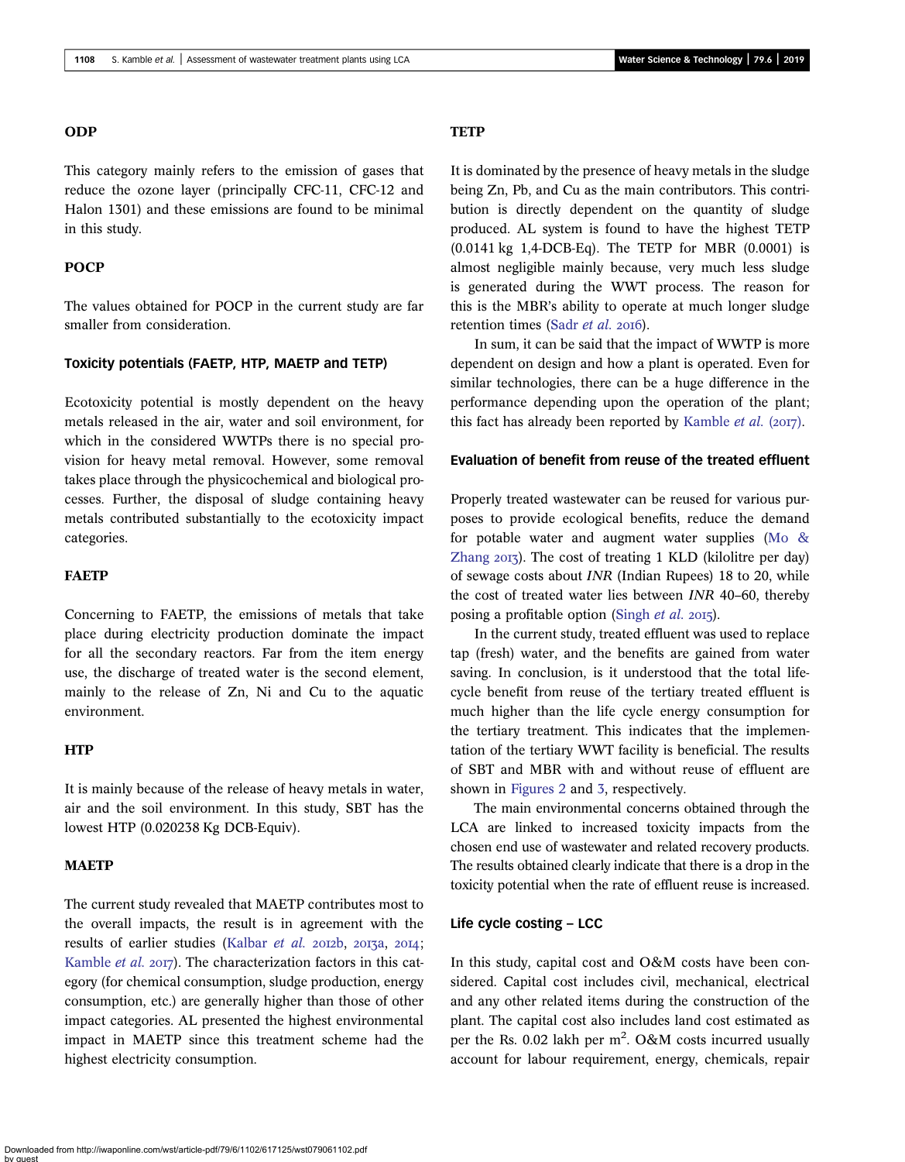### ODP

This category mainly refers to the emission of gases that reduce the ozone layer (principally CFC-11, CFC-12 and Halon 1301) and these emissions are found to be minimal in this study.

### **POCP**

The values obtained for POCP in the current study are far smaller from consideration.

### Toxicity potentials (FAETP, HTP, MAETP and TETP)

Ecotoxicity potential is mostly dependent on the heavy metals released in the air, water and soil environment, for which in the considered WWTPs there is no special provision for heavy metal removal. However, some removal takes place through the physicochemical and biological processes. Further, the disposal of sludge containing heavy metals contributed substantially to the ecotoxicity impact categories.

### FAETP

Concerning to FAETP, the emissions of metals that take place during electricity production dominate the impact for all the secondary reactors. Far from the item energy use, the discharge of treated water is the second element, mainly to the release of Zn, Ni and Cu to the aquatic environment.

### **HTP**

It is mainly because of the release of heavy metals in water, air and the soil environment. In this study, SBT has the lowest HTP (0.020238 Kg DCB-Equiv).

### **MAETP**

The current study revealed that MAETP contributes most to the overall impacts, the result is in agreement with the results of earlier studies ([Kalbar](#page-9-0) et al. 2012b, 2013a, 2014; [Kamble](#page-9-0) et al. 2017). The characterization factors in this category (for chemical consumption, sludge production, energy consumption, etc.) are generally higher than those of other impact categories. AL presented the highest environmental impact in MAETP since this treatment scheme had the highest electricity consumption.

# **TETP**

It is dominated by the presence of heavy metals in the sludge being Zn, Pb, and Cu as the main contributors. This contribution is directly dependent on the quantity of sludge produced. AL system is found to have the highest TETP (0.0141 kg 1,4-DCB-Eq). The TETP for MBR (0.0001) is almost negligible mainly because, very much less sludge is generated during the WWT process. The reason for this is the MBR's ability to operate at much longer sludge retention times (Sadr *[et al.](#page-10-0)* 2016).

In sum, it can be said that the impact of WWTP is more dependent on design and how a plant is operated. Even for similar technologies, there can be a huge difference in the performance depending upon the operation of the plant; this fact has already been reported by [Kamble](#page-9-0) *et al.* ( $2017$ ).

#### Evaluation of benefit from reuse of the treated effluent

Properly treated wastewater can be reused for various purposes to provide ecological benefits, reduce the demand for potable water and augment water supplies [\(Mo &](#page-9-0) [Zhang](#page-9-0)  $20I_7$ ). The cost of treating 1 KLD (kilolitre per day) of sewage costs about INR (Indian Rupees) 18 to 20, while the cost of treated water lies between INR 40–60, thereby posing a profitable option ([Singh](#page-10-0) *et al.* 2015).

In the current study, treated effluent was used to replace tap (fresh) water, and the benefits are gained from water saving. In conclusion, is it understood that the total lifecycle benefit from reuse of the tertiary treated effluent is much higher than the life cycle energy consumption for the tertiary treatment. This indicates that the implementation of the tertiary WWT facility is beneficial. The results of SBT and MBR with and without reuse of effluent are shown in [Figures 2](#page-7-0) and [3](#page-7-0), respectively.

The main environmental concerns obtained through the LCA are linked to increased toxicity impacts from the chosen end use of wastewater and related recovery products. The results obtained clearly indicate that there is a drop in the toxicity potential when the rate of effluent reuse is increased.

### Life cycle costing – LCC

In this study, capital cost and O&M costs have been considered. Capital cost includes civil, mechanical, electrical and any other related items during the construction of the plant. The capital cost also includes land cost estimated as per the Rs. 0.02 lakh per  $m^2$ . O&M costs incurred usually account for labour requirement, energy, chemicals, repair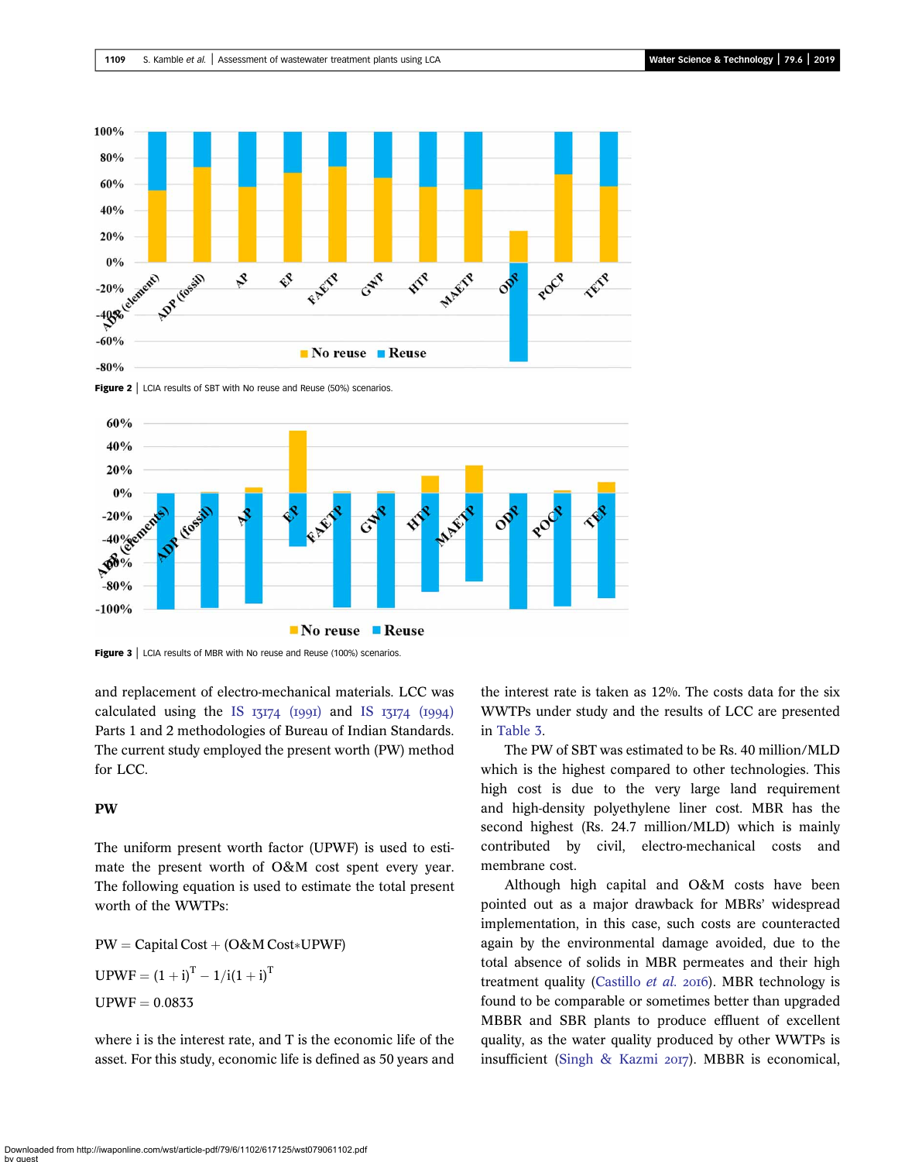<span id="page-7-0"></span>





Figure 3 | LCIA results of MBR with No reuse and Reuse (100%) scenarios.

and replacement of electro-mechanical materials. LCC was calculated using the IS  $I3I74$  (1991) and IS  $I3I74$  (1994) Parts 1 and 2 methodologies of Bureau of Indian Standards. The current study employed the present worth (PW) method for LCC.

### PW

The uniform present worth factor (UPWF) is used to estimate the present worth of O&M cost spent every year. The following equation is used to estimate the total present worth of the WWTPs:

 $PW = Capital Cost + (O&M Cost * UPWF)$  $UPWF = (1 + i)^{T} - 1/i(1 + i)^{T}$  $UPWF = 0.0833$ 

where i is the interest rate, and T is the economic life of the asset. For this study, economic life is defined as 50 years and the interest rate is taken as 12%. The costs data for the six WWTPs under study and the results of LCC are presented in [Table 3](#page-8-0).

The PW of SBT was estimated to be Rs. 40 million/MLD which is the highest compared to other technologies. This high cost is due to the very large land requirement and high-density polyethylene liner cost. MBR has the second highest (Rs. 24.7 million/MLD) which is mainly contributed by civil, electro-mechanical costs and membrane cost.

Although high capital and O&M costs have been pointed out as a major drawback for MBRs' widespread implementation, in this case, such costs are counteracted again by the environmental damage avoided, due to the total absence of solids in MBR permeates and their high treatment quality [\(Castillo](#page-9-0) et al. 2016). MBR technology is found to be comparable or sometimes better than upgraded MBBR and SBR plants to produce effluent of excellent quality, as the water quality produced by other WWTPs is insufficient ([Singh & Kazmi](#page-10-0)  $20I7$ ). MBBR is economical,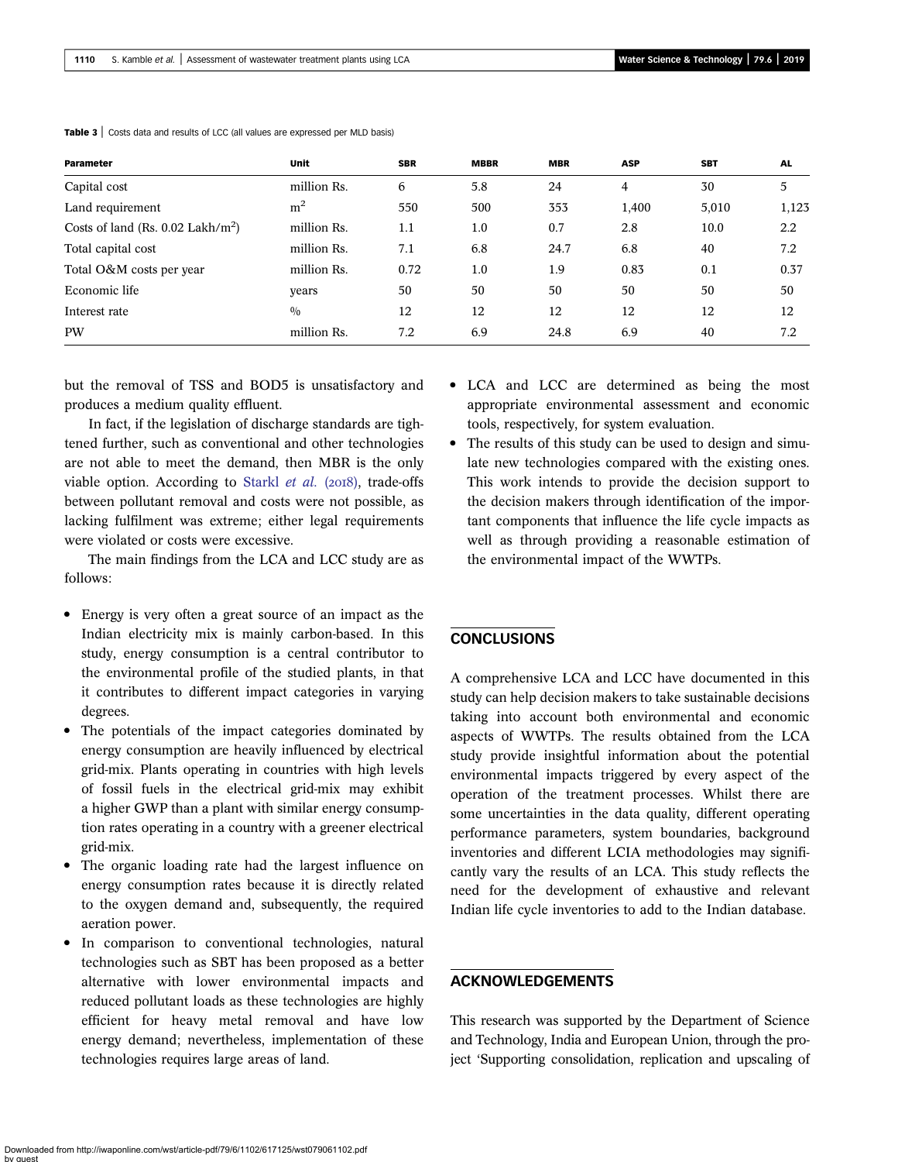| Parameter                                     | Unit           | <b>SBR</b> | <b>MBBR</b> | <b>MBR</b> | <b>ASP</b> | <b>SBT</b> | <b>AL</b> |
|-----------------------------------------------|----------------|------------|-------------|------------|------------|------------|-----------|
| Capital cost                                  | million Rs.    | 6          | 5.8         | 24         | 4          | 30         | 5         |
| Land requirement                              | m <sup>2</sup> | 550        | 500         | 353        | 1,400      | 5,010      | 1,123     |
| Costs of land (Rs. 0.02 Lakh/m <sup>2</sup> ) | million Rs.    | 1.1        | 1.0         | 0.7        | 2.8        | 10.0       | 2.2       |
| Total capital cost                            | million Rs.    | 7.1        | 6.8         | 24.7       | 6.8        | 40         | 7.2       |
| Total O&M costs per year                      | million Rs.    | 0.72       | 1.0         | 1.9        | 0.83       | 0.1        | 0.37      |
| Economic life                                 | years          | 50         | 50          | 50         | 50         | 50         | 50        |
| Interest rate                                 | 0/0            | 12         | 12          | 12         | 12         | 12         | 12        |
| <b>PW</b>                                     | million Rs.    | 7.2        | 6.9         | 24.8       | 6.9        | 40         | 7.2       |

<span id="page-8-0"></span>Table 3 | Costs data and results of LCC (all values are expressed per MLD basis)

but the removal of TSS and BOD5 is unsatisfactory and produces a medium quality effluent.

In fact, if the legislation of discharge standards are tightened further, such as conventional and other technologies are not able to meet the demand, then MBR is the only viable option. According to [Starkl](#page-10-0)  $et$  al. ( $2018$ ), trade-offs between pollutant removal and costs were not possible, as lacking fulfilment was extreme; either legal requirements were violated or costs were excessive.

The main findings from the LCA and LCC study are as follows:

- Energy is very often a great source of an impact as the Indian electricity mix is mainly carbon-based. In this study, energy consumption is a central contributor to the environmental profile of the studied plants, in that it contributes to different impact categories in varying degrees.
- The potentials of the impact categories dominated by energy consumption are heavily influenced by electrical grid-mix. Plants operating in countries with high levels of fossil fuels in the electrical grid-mix may exhibit a higher GWP than a plant with similar energy consumption rates operating in a country with a greener electrical grid-mix.
- The organic loading rate had the largest influence on energy consumption rates because it is directly related to the oxygen demand and, subsequently, the required aeration power.
- In comparison to conventional technologies, natural technologies such as SBT has been proposed as a better alternative with lower environmental impacts and reduced pollutant loads as these technologies are highly efficient for heavy metal removal and have low energy demand; nevertheless, implementation of these technologies requires large areas of land.
- LCA and LCC are determined as being the most appropriate environmental assessment and economic tools, respectively, for system evaluation.
- The results of this study can be used to design and simulate new technologies compared with the existing ones. This work intends to provide the decision support to the decision makers through identification of the important components that influence the life cycle impacts as well as through providing a reasonable estimation of the environmental impact of the WWTPs.

### **CONCLUSIONS**

A comprehensive LCA and LCC have documented in this study can help decision makers to take sustainable decisions taking into account both environmental and economic aspects of WWTPs. The results obtained from the LCA study provide insightful information about the potential environmental impacts triggered by every aspect of the operation of the treatment processes. Whilst there are some uncertainties in the data quality, different operating performance parameters, system boundaries, background inventories and different LCIA methodologies may significantly vary the results of an LCA. This study reflects the need for the development of exhaustive and relevant Indian life cycle inventories to add to the Indian database.

# ACKNOWLEDGEMENTS

This research was supported by the Department of Science and Technology, India and European Union, through the project 'Supporting consolidation, replication and upscaling of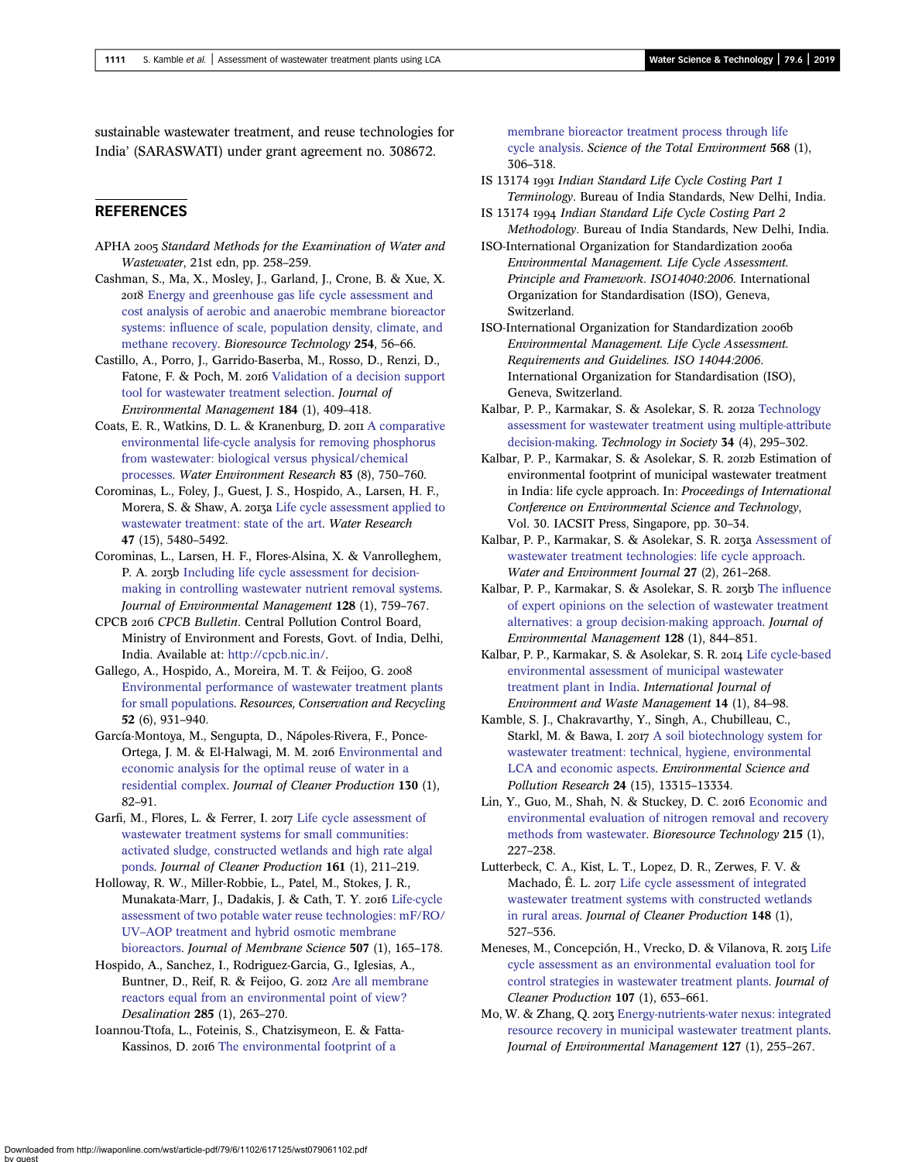<span id="page-9-0"></span>sustainable wastewater treatment, and reuse technologies for India' (SARASWATI) under grant agreement no. 308672.

### REFERENCES

- APHA 2005 Standard Methods for the Examination of Water and Wastewater, 21st edn, pp. 258–259.
- Cashman, S., Ma, X., Mosley, J., Garland, J., Crone, B. & Xue, X. [Energy and greenhouse gas life cycle assessment and](http://dx.doi.org/10.1016/j.biortech.2018.01.060) [cost analysis of aerobic and anaerobic membrane bioreactor](http://dx.doi.org/10.1016/j.biortech.2018.01.060) [systems: influence of scale, population density, climate, and](http://dx.doi.org/10.1016/j.biortech.2018.01.060) [methane recovery.](http://dx.doi.org/10.1016/j.biortech.2018.01.060) Bioresource Technology 254, 56–66.
- Castillo, A., Porro, J., Garrido-Baserba, M., Rosso, D., Renzi, D., Fatone, F. & Poch, M. 2016 [Validation of a decision support](http://dx.doi.org/10.1016/j.jenvman.2016.09.087) [tool for wastewater treatment selection](http://dx.doi.org/10.1016/j.jenvman.2016.09.087). Journal of Environmental Management 184 (1), 409–418.
- Coats, E. R., Watkins, D. L. & Kranenburg, D. 2011 [A comparative](http://dx.doi.org/10.2175/106143011X12928814444619) [environmental life-cycle analysis for removing phosphorus](http://dx.doi.org/10.2175/106143011X12928814444619) [from wastewater: biological versus physical/chemical](http://dx.doi.org/10.2175/106143011X12928814444619) [processes](http://dx.doi.org/10.2175/106143011X12928814444619). Water Environment Research 83 (8), 750–760.
- Corominas, L., Foley, J., Guest, J. S., Hospido, A., Larsen, H. F., Morera, S. & Shaw, A. 2013a [Life cycle assessment applied to](http://dx.doi.org/10.1016/j.watres.2013.06.049) [wastewater treatment: state of the art](http://dx.doi.org/10.1016/j.watres.2013.06.049). Water Research 47 (15), 5480–5492.
- Corominas, L., Larsen, H. F., Flores-Alsina, X. & Vanrolleghem, P. A. 2013b [Including life cycle assessment for decision](http://dx.doi.org/10.1016/j.jenvman.2013.06.002)[making in controlling wastewater nutrient removal systems](http://dx.doi.org/10.1016/j.jenvman.2013.06.002). Journal of Environmental Management 128 (1), 759–767.
- CPCB CPCB Bulletin. Central Pollution Control Board, Ministry of Environment and Forests, Govt. of India, Delhi, India. Available at: <http://cpcb.nic.in/>.
- Gallego, A., Hospido, A., Moreira, M. T. & Feijoo, G. [Environmental performance of wastewater treatment plants](http://dx.doi.org/10.1016/j.resconrec.2008.02.001) [for small populations](http://dx.doi.org/10.1016/j.resconrec.2008.02.001). Resources, Conservation and Recycling 52 (6), 931–940.
- García-Montoya, M., Sengupta, D., Nápoles-Rivera, F., Ponce-Ortega, J. M. & El-Halwagi, M. M. 2016 [Environmental and](http://dx.doi.org/10.1016/j.jclepro.2015.06.109) [economic analysis for the optimal reuse of water in a](http://dx.doi.org/10.1016/j.jclepro.2015.06.109) [residential complex.](http://dx.doi.org/10.1016/j.jclepro.2015.06.109) Journal of Cleaner Production 130 (1), 82–91.
- Garfi, M., Flores, L. & Ferrer, I. 2017 [Life cycle assessment of](http://dx.doi.org/10.1016/j.jclepro.2017.05.116) [wastewater treatment systems for small communities:](http://dx.doi.org/10.1016/j.jclepro.2017.05.116) [activated sludge, constructed wetlands and high rate algal](http://dx.doi.org/10.1016/j.jclepro.2017.05.116) [ponds.](http://dx.doi.org/10.1016/j.jclepro.2017.05.116) Journal of Cleaner Production 161 (1), 211–219.
- Holloway, R. W., Miller-Robbie, L., Patel, M., Stokes, J. R., Munakata-Marr, J., Dadakis, J. & Cath, T. Y. 2016 [Life-cycle](http://dx.doi.org/10.1016/j.memsci.2016.01.045) [assessment of two potable water reuse technologies: mF/RO/](http://dx.doi.org/10.1016/j.memsci.2016.01.045) UV–[AOP treatment and hybrid osmotic membrane](http://dx.doi.org/10.1016/j.memsci.2016.01.045) [bioreactors](http://dx.doi.org/10.1016/j.memsci.2016.01.045). Journal of Membrane Science 507 (1), 165–178.
- Hospido, A., Sanchez, I., Rodriguez-Garcia, G., Iglesias, A., Buntner, D., Reif, R. & Feijoo, G. 2012 [Are all membrane](http://dx.doi.org/10.1016/j.desal.2011.10.011) [reactors equal from an environmental point of view?](http://dx.doi.org/10.1016/j.desal.2011.10.011) Desalination 285 (1), 263–270.
- Ioannou-Ttofa, L., Foteinis, S., Chatzisymeon, E. & Fatta-Kassinos, D. 2016 [The environmental footprint of a](http://dx.doi.org/10.1016/j.scitotenv.2016.06.032)

[membrane bioreactor treatment process through life](http://dx.doi.org/10.1016/j.scitotenv.2016.06.032) [cycle analysis](http://dx.doi.org/10.1016/j.scitotenv.2016.06.032). Science of the Total Environment 568 (1), 306–318.

- IS 13174 Indian Standard Life Cycle Costing Part 1 Terminology. Bureau of India Standards, New Delhi, India.
- IS 13174 Indian Standard Life Cycle Costing Part 2 Methodology. Bureau of India Standards, New Delhi, India.
- ISO-International Organization for Standardization 2006a Environmental Management. Life Cycle Assessment. Principle and Framework. ISO14040:2006. International Organization for Standardisation (ISO), Geneva, Switzerland.
- ISO-International Organization for Standardization 2006b Environmental Management. Life Cycle Assessment. Requirements and Guidelines. ISO 14044:2006. International Organization for Standardisation (ISO), Geneva, Switzerland.
- Kalbar, P. P., Karmakar, S. & Asolekar, S. R. 2012a [Technology](http://dx.doi.org/10.1016/j.techsoc.2012.10.001) [assessment for wastewater treatment using multiple-attribute](http://dx.doi.org/10.1016/j.techsoc.2012.10.001) [decision-making.](http://dx.doi.org/10.1016/j.techsoc.2012.10.001) Technology in Society 34 (4), 295–302.
- Kalbar, P. P., Karmakar, S. & Asolekar, S. R. 2012b Estimation of environmental footprint of municipal wastewater treatment in India: life cycle approach. In: Proceedings of International Conference on Environmental Science and Technology, Vol. 30. IACSIT Press, Singapore, pp. 30–34.
- Kalbar, P. P., Karmakar, S. & Asolekar, S. R. 2013a [Assessment of](http://dx.doi.org/10.1111/wej.12006) [wastewater treatment technologies: life cycle approach.](http://dx.doi.org/10.1111/wej.12006) Water and Environment Journal 27 (2), 261–268.
- Kalbar, P. P., Karmakar, S. & Asolekar, S. R. 2013b [The influence](http://dx.doi.org/10.1016/j.jenvman.2013.06.034) [of expert opinions on the selection of wastewater treatment](http://dx.doi.org/10.1016/j.jenvman.2013.06.034) [alternatives: a group decision-making approach.](http://dx.doi.org/10.1016/j.jenvman.2013.06.034) Journal of Environmental Management 128 (1), 844–851.
- Kalbar, P. P., Karmakar, S. & Asolekar, S. R. 2014 [Life cycle-based](http://dx.doi.org/10.1504/IJEWM.2014.062984) [environmental assessment of municipal wastewater](http://dx.doi.org/10.1504/IJEWM.2014.062984) [treatment plant in India.](http://dx.doi.org/10.1504/IJEWM.2014.062984) International Journal of Environment and Waste Management 14 (1), 84–98.
- Kamble, S. J., Chakravarthy, Y., Singh, A., Chubilleau, C., Starkl, M. & Bawa, I. 2017 [A soil biotechnology system for](http://dx.doi.org/10.1007/s11356-017-8819-6) [wastewater treatment: technical, hygiene, environmental](http://dx.doi.org/10.1007/s11356-017-8819-6) [LCA and economic aspects](http://dx.doi.org/10.1007/s11356-017-8819-6). Environmental Science and Pollution Research 24 (15), 13315–13334.
- Lin, Y., Guo, M., Shah, N. & Stuckey, D. C. 2016 [Economic and](http://dx.doi.org/10.1016/j.biortech.2016.03.064) [environmental evaluation of nitrogen removal and recovery](http://dx.doi.org/10.1016/j.biortech.2016.03.064) [methods from wastewater](http://dx.doi.org/10.1016/j.biortech.2016.03.064). Bioresource Technology 215 (1), 227–238.
- Lutterbeck, C. A., Kist, L. T., Lopez, D. R., Zerwes, F. V. & Machado, Ê. L. 2017 [Life cycle assessment of integrated](http://dx.doi.org/10.1016/j.jclepro.2017.02.024) [wastewater treatment systems with constructed wetlands](http://dx.doi.org/10.1016/j.jclepro.2017.02.024) [in rural areas](http://dx.doi.org/10.1016/j.jclepro.2017.02.024). Journal of Cleaner Production 148 (1), 527–536.
- Meneses, M., Concepción, H., Vrecko, D. & Vilanova, R. 2015 [Life](http://dx.doi.org/10.1016/j.jclepro.2015.05.057) [cycle assessment as an environmental evaluation tool for](http://dx.doi.org/10.1016/j.jclepro.2015.05.057) [control strategies in wastewater treatment plants.](http://dx.doi.org/10.1016/j.jclepro.2015.05.057) Journal of Cleaner Production 107 (1), 653–661.
- Mo, W. & Zhang, Q. 2013 [Energy-nutrients-water nexus: integrated](http://dx.doi.org/10.1016/j.jenvman.2013.05.007) [resource recovery in municipal wastewater treatment plants](http://dx.doi.org/10.1016/j.jenvman.2013.05.007). Journal of Environmental Management 127 (1), 255–267.